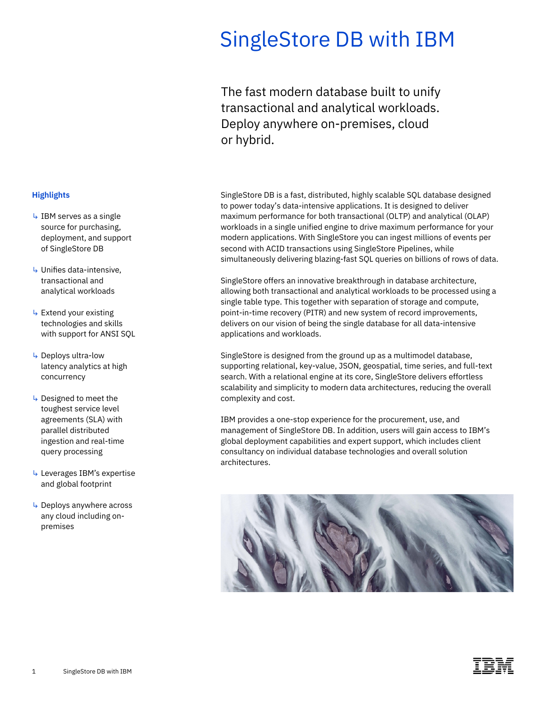# SingleStore DB with IBM

The fast modern database built to unify transactional and analytical workloads. Deploy anywhere on-premises, cloud or hybrid.

 workloads in a single unified engine to drive maximum performance for your SingleStore DB is a fast, distributed, highly scalable SQL database designed to power today's data-intensive applications. It is designed to deliver maximum performance for both transactional (OLTP) and analytical (OLAP) modern applications. With SingleStore you can ingest millions of events per second with ACID transactions using SingleStore Pipelines, while simultaneously delivering blazing-fast SQL queries on billions of rows of data.

SingleStore offers an innovative breakthrough in database architecture, allowing both transactional and analytical workloads to be processed using a single table type. This together with separation of storage and compute, point-in-time recovery (PITR) and new system of record improvements, delivers on our vision of being the single database for all data-intensive applications and workloads.

SingleStore is designed from the ground up as a multimodel database, supporting relational, key-value, JSON, geospatial, time series, and full-text search. With a relational engine at its core, SingleStore delivers effortless scalability and simplicity to modern data architectures, reducing the overall complexity and cost.

IBM provides a one-stop experience for the procurement, use, and management of SingleStore DB. In addition, users will gain access to IBM's global deployment capabilities and expert support, which includes client consultancy on individual database technologies and overall solution architectures.



### **Highlights**

- $\overline{\phantom{a}}$  IBM serves as a single source for purchasing, deployment, and support of SingleStore DB
- ↳ Unifies data-intensive, transactional and analytical workloads
- $\overline{\phantom{a}}$  Extend your existing technologies and skills with support for ANSI SQL
- ↳ Deploys ultra-low latency analytics at high concurrency
- ↳ Designed to meet the toughest service level agreements (SLA) with parallel distributed ingestion and real-time query processing
- ↳ Leverages IBM's expertise and global footprint
- ↳ Deploys anywhere across any cloud including onpremises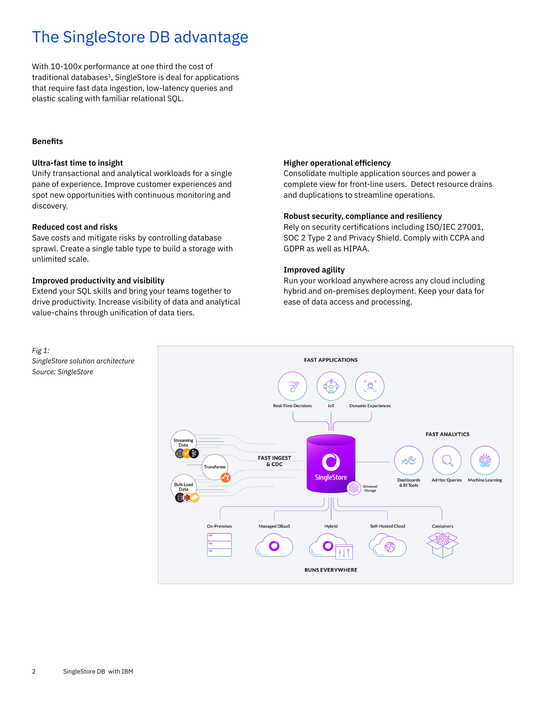## The SingleStore DB advantage

With 10-100x performance at one third the cost of traditional databases<sup>1</sup>, SingleStore is deal for applications that require fast data ingestion, low-latency queries and elastic scaling with familiar relational SQL.

### **Benefits**

### **Ultra-fast time to insight**

Unify transactional and analytical workloads for a single pane of experience. Improve customer experiences and spot new opportunities with continuous monitoring and discovery.

### **Reduced cost and risks**

Save costs and mitigate risks by controlling database sprawl. Create a single table type to build a storage with unlimited scale.

### **Improved productivity and visibility**

 value-chains through unification of data tiers. Extend your SQL skills and bring your teams together to drive productivity. Increase visibility of data and analytical

### **Higher operational efficiency**

Consolidate multiple application sources and power a complete view for front-line users. Detect resource drains and duplications to streamline operations.

### **Robust security, compliance and resiliency**

 Rely on security certifications including ISO/IEC 27001, SOC 2 Type 2 and Privacy Shield. Comply with CCPA and GDPR as well as HIPAA.

### **Improved agility**

Run your workload anywhere across any cloud including hybrid and on-premises deployment. Keep your data for ease of data access and processing.



*Fig 1: SingleStore solution architecture Source: SingleStore*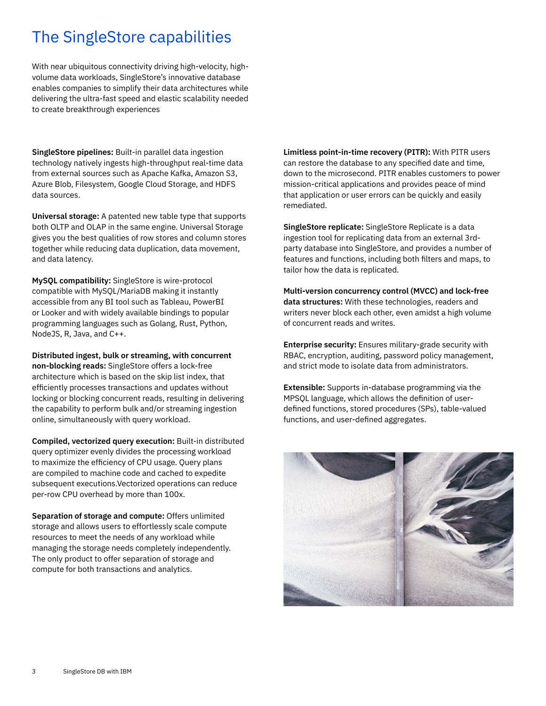### The SingleStore capabilities

With near ubiquitous connectivity driving high-velocity, highvolume data workloads, SingleStore's innovative database enables companies to simplify their data architectures while delivering the ultra-fast speed and elastic scalability needed to create breakthrough experiences

**SingleStore pipelines:** Built-in parallel data ingestion technology natively ingests high-throughput real-time data from external sources such as Apache Kafka, Amazon S3, Azure Blob, Filesystem, Google Cloud Storage, and HDFS data sources.

**Universal storage:** A patented new table type that supports both OLTP and OLAP in the same engine. Universal Storage gives you the best qualities of row stores and column stores together while reducing data duplication, data movement, and data latency.

 compatible with MySQL/MariaDB making it instantly **MySQL compatibility:** SingleStore is wire-protocol accessible from any BI tool such as Tableau, PowerBI or Looker and with widely available bindings to popular programming languages such as Golang, Rust, Python, NodeJS, R, Java, and C++.

 efficiently processes transactions and updates without the capability to perform bulk and/or streaming ingestion **Distributed ingest, bulk or streaming, with concurrent non-blocking reads:** SingleStore offers a lock-free architecture which is based on the skip list index, that locking or blocking concurrent reads, resulting in delivering online, simultaneously with query workload.

 to maximize the efficiency of CPU usage. Query plans **Compiled, vectorized query execution:** Built-in distributed query optimizer evenly divides the processing workload are compiled to machine code and cached to expedite subsequent executions.Vectorized operations can reduce per-row CPU overhead by more than 100x.

**Separation of storage and compute:** Offers unlimited storage and allows users to effortlessly scale compute resources to meet the needs of any workload while managing the storage needs completely independently. The only product to offer separation of storage and compute for both transactions and analytics.

 can restore the database to any specified date and time, **Limitless point-in-time recovery (PITR):** With PITR users down to the microsecond. PITR enables customers to power mission-critical applications and provides peace of mind that application or user errors can be quickly and easily remediated.

features and functions, including both filters and maps, to **SingleStore replicate:** SingleStore Replicate is a data ingestion tool for replicating data from an external 3rdparty database into SingleStore, and provides a number of tailor how the data is replicated.

**Multi-version concurrency control (MVCC) and lock-free data structures:** With these technologies, readers and writers never block each other, even amidst a high volume of concurrent reads and writes.

**Enterprise security:** Ensures military-grade security with RBAC, encryption, auditing, password policy management, and strict mode to isolate data from administrators.

 MPSQL language, which allows the definition of user- defined functions, stored procedures (SPs), table-valued functions, and user-defined aggregates. **Extensible:** Supports in-database programming via the

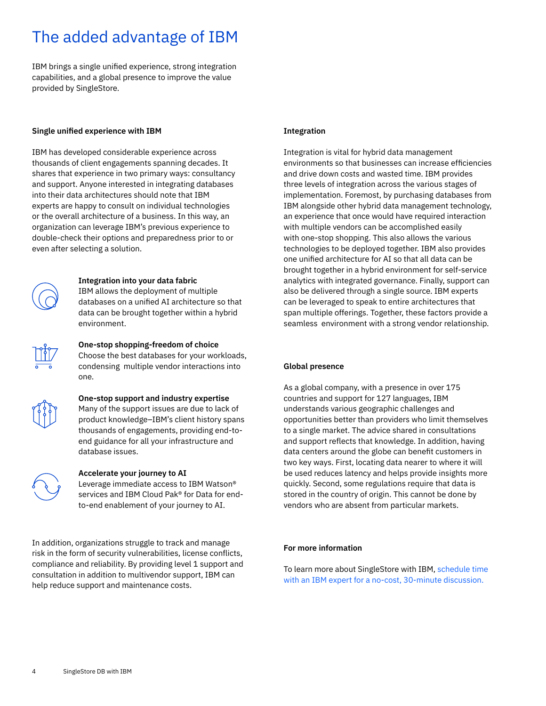### The added advantage of IBM

 IBM brings a single unified experience, strong integration capabilities, and a global presence to improve the value provided by SingleStore.

#### **Single unified experience with IBM**

IBM has developed considerable experience across thousands of client engagements spanning decades. It shares that experience in two primary ways: consultancy and support. Anyone interested in integrating databases into their data architectures should note that IBM experts are happy to consult on individual technologies or the overall architecture of a business. In this way, an organization can leverage IBM's previous experience to double-check their options and preparedness prior to or even after selecting a solution.



### **Integration into your data fabric**  IBM allows the deployment of multiple

 databases on a unified AI architecture so that data can be brought together within a hybrid environment.



**One-stop shopping-freedom of choice**  Choose the best databases for your workloads, condensing multiple vendor interactions into one.



### **One-stop support and industry expertise**  Many of the support issues are due to lack of

product knowledge–IBM's client history spans thousands of engagements, providing end-toend guidance for all your infrastructure and database issues.



### **Accelerate your journey to AI**

Leverage immediate access to IBM Watson® services and IBM Cloud Pak® for Data for endto-end enablement of your journey to AI.

In addition, organizations struggle to track and manage risk in the form of security vulnerabilities, license conflicts, compliance and reliability. By providing level 1 support and consultation in addition to multivendor support, IBM can help reduce support and maintenance costs.

### **Integration**

 environments so that businesses can increase efficiencies one unified architecture for AI so that all data can be Integration is vital for hybrid data management and drive down costs and wasted time. IBM provides three levels of integration across the various stages of implementation. Foremost, by purchasing databases from IBM alongside other hybrid data management technology, an experience that once would have required interaction with multiple vendors can be accomplished easily with one-stop shopping. This also allows the various technologies to be deployed together. IBM also provides brought together in a hybrid environment for self-service analytics with integrated governance. Finally, support can also be delivered through a single source. IBM experts can be leveraged to speak to entire architectures that span multiple offerings. Together, these factors provide a seamless environment with a strong vendor relationship.

### **Global presence**

 As a global company, with a presence in over 175 countries and support for 127 languages, IBM data centers around the globe can benefit customers in understands various geographic challenges and opportunities better than providers who limit themselves to a single market. The advice shared in consultations and support reflects that knowledge. In addition, having two key ways. First, locating data nearer to where it will be used reduces latency and helps provide insights more quickly. Second, some regulations require that data is stored in the country of origin. This cannot be done by vendors who are absent from particular markets.

### **For more information**

[To learn more about SingleStore with IBM, schedule time](https://www.ibm.com/account/reg/us-en/signup?formid=MAIL-ibm2)  with an IBM expert for a no-cost, 30-minute discussion.